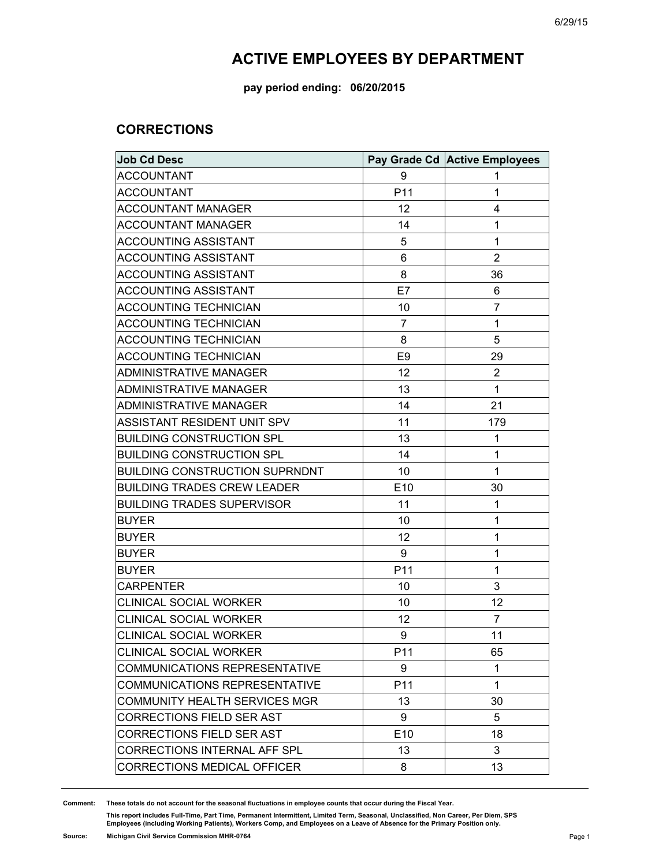**pay period ending: 06/20/2015**

#### **CORRECTIONS**

| <b>Job Cd Desc</b>                    |                | Pay Grade Cd Active Employees |
|---------------------------------------|----------------|-------------------------------|
| <b>ACCOUNTANT</b>                     | 9              | 1                             |
| <b>ACCOUNTANT</b>                     | P11            | 1                             |
| <b>ACCOUNTANT MANAGER</b>             | 12             | 4                             |
| <b>ACCOUNTANT MANAGER</b>             | 14             | 1                             |
| <b>ACCOUNTING ASSISTANT</b>           | 5              | 1                             |
| <b>ACCOUNTING ASSISTANT</b>           | 6              | $\overline{2}$                |
| <b>ACCOUNTING ASSISTANT</b>           | 8              | 36                            |
| <b>ACCOUNTING ASSISTANT</b>           | E7             | 6                             |
| <b>ACCOUNTING TECHNICIAN</b>          | 10             | 7                             |
| <b>ACCOUNTING TECHNICIAN</b>          | 7              | 1                             |
| <b>ACCOUNTING TECHNICIAN</b>          | 8              | 5                             |
| <b>ACCOUNTING TECHNICIAN</b>          | E <sub>9</sub> | 29                            |
| ADMINISTRATIVE MANAGER                | 12             | 2                             |
| <b>ADMINISTRATIVE MANAGER</b>         | 13             | 1                             |
| <b>ADMINISTRATIVE MANAGER</b>         | 14             | 21                            |
| ASSISTANT RESIDENT UNIT SPV           | 11             | 179                           |
| <b>BUILDING CONSTRUCTION SPL</b>      | 13             | 1                             |
| <b>BUILDING CONSTRUCTION SPL</b>      | 14             | 1                             |
| <b>BUILDING CONSTRUCTION SUPRNDNT</b> | 10             | 1                             |
| <b>BUILDING TRADES CREW LEADER</b>    | E10            | 30                            |
| <b>BUILDING TRADES SUPERVISOR</b>     | 11             | 1                             |
| <b>BUYER</b>                          | 10             | 1                             |
| <b>BUYER</b>                          | 12             | 1                             |
| <b>BUYER</b>                          | 9              | 1                             |
| <b>BUYER</b>                          | P11            | 1                             |
| <b>CARPENTER</b>                      | 10             | 3                             |
| <b>CLINICAL SOCIAL WORKER</b>         | 10             | 12                            |
| <b>CLINICAL SOCIAL WORKER</b>         | 12             | 7                             |
| <b>CLINICAL SOCIAL WORKER</b>         | 9              | 11                            |
| <b>CLINICAL SOCIAL WORKER</b>         | P11            | 65                            |
| <b>COMMUNICATIONS REPRESENTATIVE</b>  | 9              | 1                             |
| <b>COMMUNICATIONS REPRESENTATIVE</b>  | P11            | 1                             |
| COMMUNITY HEALTH SERVICES MGR         | 13             | 30                            |
| <b>CORRECTIONS FIELD SER AST</b>      | 9              | 5                             |
| <b>CORRECTIONS FIELD SER AST</b>      | E10            | 18                            |
| CORRECTIONS INTERNAL AFF SPL          | 13             | 3                             |
| <b>CORRECTIONS MEDICAL OFFICER</b>    | 8              | 13                            |

**Comment: These totals do not account for the seasonal fluctuations in employee counts that occur during the Fiscal Year.**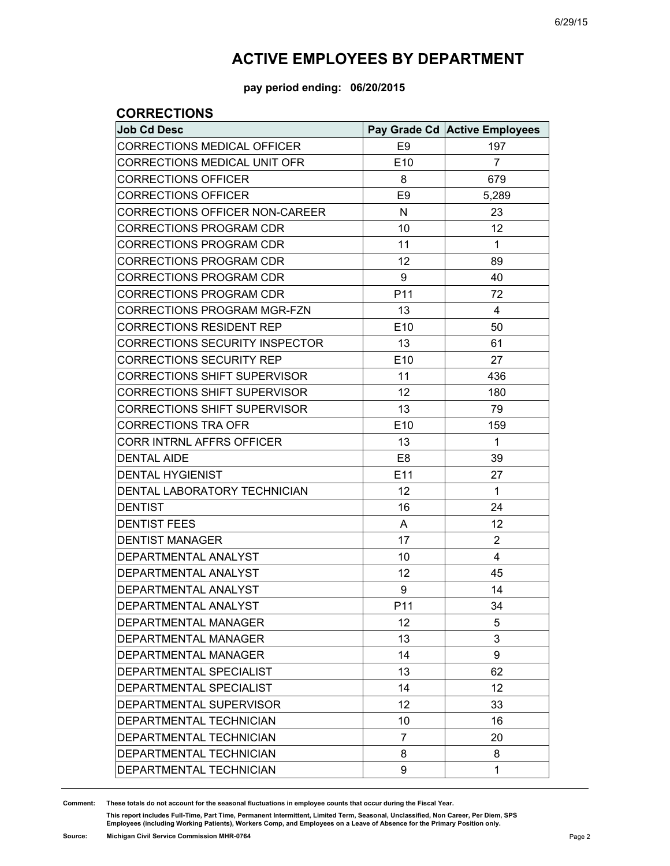**pay period ending: 06/20/2015**

#### **CORRECTIONS**

| <b>Job Cd Desc</b>                  |                 | Pay Grade Cd Active Employees |
|-------------------------------------|-----------------|-------------------------------|
| <b>CORRECTIONS MEDICAL OFFICER</b>  | E <sub>9</sub>  | 197                           |
| CORRECTIONS MEDICAL UNIT OFR        | E <sub>10</sub> | $\overline{7}$                |
| <b>CORRECTIONS OFFICER</b>          | 8               | 679                           |
| <b>CORRECTIONS OFFICER</b>          | E <sub>9</sub>  | 5,289                         |
| CORRECTIONS OFFICER NON-CAREER      | N               | 23                            |
| <b>CORRECTIONS PROGRAM CDR</b>      | 10              | 12                            |
| CORRECTIONS PROGRAM CDR             | 11              | 1                             |
| <b>CORRECTIONS PROGRAM CDR</b>      | 12              | 89                            |
| CORRECTIONS PROGRAM CDR             | 9               | 40                            |
| <b>CORRECTIONS PROGRAM CDR</b>      | P11             | 72                            |
| CORRECTIONS PROGRAM MGR-FZN         | 13              | 4                             |
| <b>CORRECTIONS RESIDENT REP</b>     | E <sub>10</sub> | 50                            |
| CORRECTIONS SECURITY INSPECTOR      | 13              | 61                            |
| <b>CORRECTIONS SECURITY REP</b>     | E10             | 27                            |
| CORRECTIONS SHIFT SUPERVISOR        | 11              | 436                           |
| <b>CORRECTIONS SHIFT SUPERVISOR</b> | 12              | 180                           |
| CORRECTIONS SHIFT SUPERVISOR        | 13              | 79                            |
| <b>CORRECTIONS TRA OFR</b>          | E <sub>10</sub> | 159                           |
| CORR INTRNL AFFRS OFFICER           | 13              | 1                             |
| <b>DENTAL AIDE</b>                  | E <sub>8</sub>  | 39                            |
| <b>DENTAL HYGIENIST</b>             | E11             | 27                            |
| DENTAL LABORATORY TECHNICIAN        | 12              | $\mathbf{1}$                  |
| <b>DENTIST</b>                      | 16              | 24                            |
| <b>DENTIST FEES</b>                 | A               | 12                            |
| <b>DENTIST MANAGER</b>              | 17              | $\overline{2}$                |
| DEPARTMENTAL ANALYST                | 10              | 4                             |
| DEPARTMENTAL ANALYST                | 12              | 45                            |
| DEPARTMENTAL ANALYST                | 9               | 14                            |
| DEPARTMENTAL ANALYST                | P <sub>11</sub> | 34                            |
| <b>DEPARTMENTAL MANAGER</b>         | 12              | 5                             |
| DEPARTMENTAL MANAGER                | 13              | 3                             |
| DEPARTMENTAL MANAGER                | 14              | 9                             |
| DEPARTMENTAL SPECIALIST             | 13              | 62                            |
| DEPARTMENTAL SPECIALIST             | 14              | 12                            |
| DEPARTMENTAL SUPERVISOR             | 12              | 33                            |
| DEPARTMENTAL TECHNICIAN             | 10              | 16                            |
| DEPARTMENTAL TECHNICIAN             | 7               | 20                            |
| DEPARTMENTAL TECHNICIAN             | 8               | 8                             |
| DEPARTMENTAL TECHNICIAN             | 9               | 1                             |

**Comment: These totals do not account for the seasonal fluctuations in employee counts that occur during the Fiscal Year.**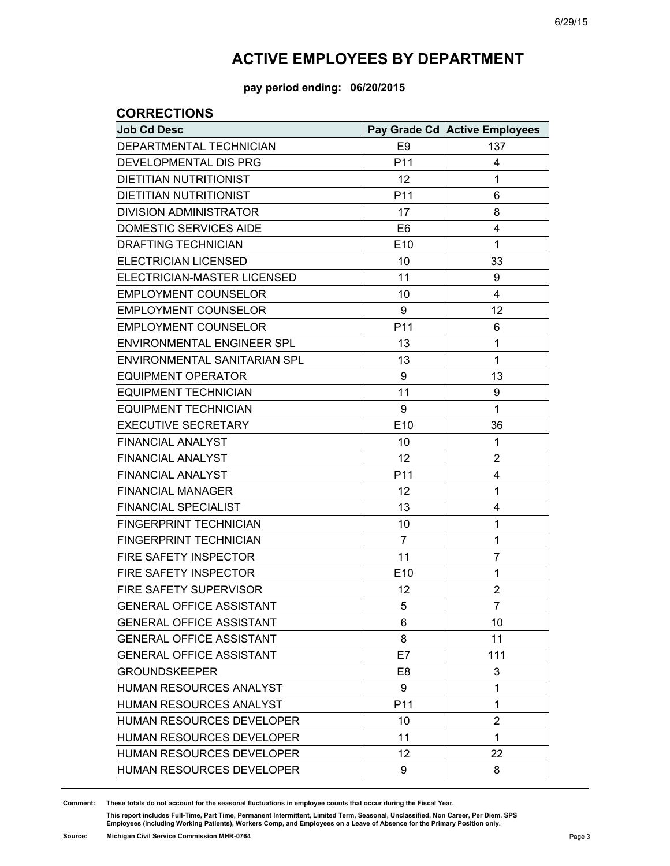**pay period ending: 06/20/2015**

#### **CORRECTIONS**

| <b>Job Cd Desc</b>                |                 | Pay Grade Cd Active Employees |
|-----------------------------------|-----------------|-------------------------------|
| DEPARTMENTAL TECHNICIAN           | E <sub>9</sub>  | 137                           |
| DEVELOPMENTAL DIS PRG             | P11             | 4                             |
| <b>DIETITIAN NUTRITIONIST</b>     | 12              | 1                             |
| <b>DIETITIAN NUTRITIONIST</b>     | P <sub>11</sub> | 6                             |
| <b>DIVISION ADMINISTRATOR</b>     | 17              | 8                             |
| <b>DOMESTIC SERVICES AIDE</b>     | E <sub>6</sub>  | 4                             |
| <b>DRAFTING TECHNICIAN</b>        | E10             | 1                             |
| <b>ELECTRICIAN LICENSED</b>       | 10              | 33                            |
| ELECTRICIAN-MASTER LICENSED       | 11              | 9                             |
| <b>EMPLOYMENT COUNSELOR</b>       | 10              | 4                             |
| <b>EMPLOYMENT COUNSELOR</b>       | 9               | 12                            |
| <b>EMPLOYMENT COUNSELOR</b>       | P11             | 6                             |
| <b>ENVIRONMENTAL ENGINEER SPL</b> | 13              | 1                             |
| ENVIRONMENTAL SANITARIAN SPL      | 13              | 1                             |
| <b>EQUIPMENT OPERATOR</b>         | 9               | 13                            |
| <b>EQUIPMENT TECHNICIAN</b>       | 11              | 9                             |
| <b>EQUIPMENT TECHNICIAN</b>       | 9               | 1                             |
| <b>EXECUTIVE SECRETARY</b>        | E10             | 36                            |
| <b>FINANCIAL ANALYST</b>          | 10              | 1                             |
| <b>FINANCIAL ANALYST</b>          | 12              | $\overline{2}$                |
| <b>FINANCIAL ANALYST</b>          | P <sub>11</sub> | 4                             |
| <b>FINANCIAL MANAGER</b>          | 12              | 1                             |
| <b>FINANCIAL SPECIALIST</b>       | 13              | 4                             |
| FINGERPRINT TECHNICIAN            | 10              | 1                             |
| <b>FINGERPRINT TECHNICIAN</b>     | 7               | 1                             |
| FIRE SAFETY INSPECTOR             | 11              | $\overline{7}$                |
| <b>FIRE SAFETY INSPECTOR</b>      | E10             | 1                             |
| FIRE SAFETY SUPERVISOR            | 12              | $\overline{2}$                |
| GENERAL OFFICE ASSISTANT          | 5               | $\overline{7}$                |
| <b>GENERAL OFFICE ASSISTANT</b>   | 6               | 10                            |
| <b>GENERAL OFFICE ASSISTANT</b>   | 8               | 11                            |
| <b>GENERAL OFFICE ASSISTANT</b>   | E7              | 111                           |
| <b>GROUNDSKEEPER</b>              | E8              | 3                             |
| HUMAN RESOURCES ANALYST           | 9               | 1                             |
| <b>HUMAN RESOURCES ANALYST</b>    | P <sub>11</sub> | 1                             |
| <b>HUMAN RESOURCES DEVELOPER</b>  | 10              | $\overline{2}$                |
| <b>HUMAN RESOURCES DEVELOPER</b>  | 11              | 1                             |
| <b>HUMAN RESOURCES DEVELOPER</b>  | 12              | 22                            |
| <b>HUMAN RESOURCES DEVELOPER</b>  | 9               | 8                             |

**Comment: These totals do not account for the seasonal fluctuations in employee counts that occur during the Fiscal Year.**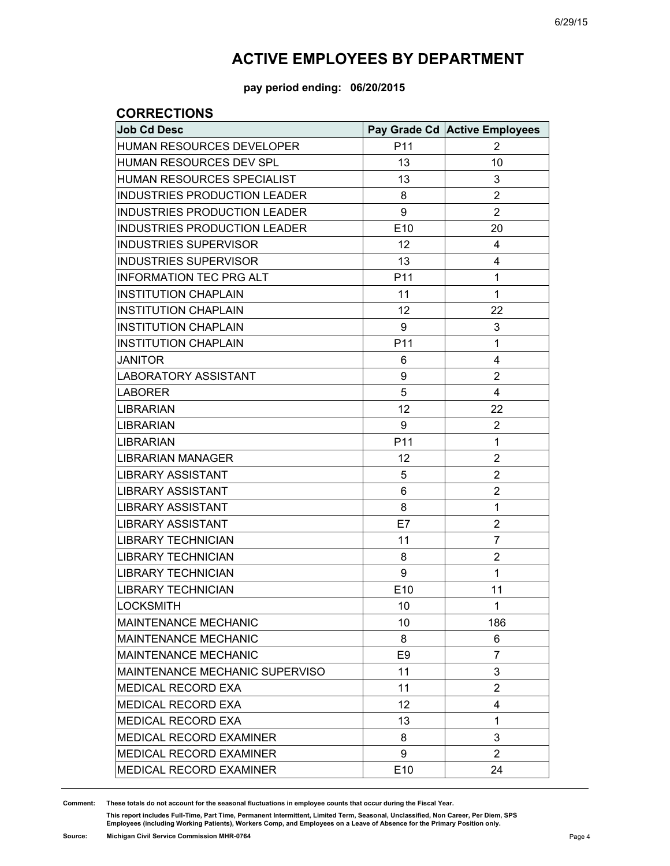**pay period ending: 06/20/2015**

#### **CORRECTIONS**

| <b>Job Cd Desc</b>                  |                 | Pay Grade Cd Active Employees |
|-------------------------------------|-----------------|-------------------------------|
| HUMAN RESOURCES DEVELOPER           | P <sub>11</sub> | 2                             |
| HUMAN RESOURCES DEV SPL             | 13              | 10                            |
| <b>HUMAN RESOURCES SPECIALIST</b>   | 13              | 3                             |
| <b>INDUSTRIES PRODUCTION LEADER</b> | 8               | $\overline{2}$                |
| <b>INDUSTRIES PRODUCTION LEADER</b> | 9               | $\overline{2}$                |
| <b>INDUSTRIES PRODUCTION LEADER</b> | E <sub>10</sub> | 20                            |
| <b>INDUSTRIES SUPERVISOR</b>        | 12              | 4                             |
| <b>INDUSTRIES SUPERVISOR</b>        | 13              | 4                             |
| <b>INFORMATION TEC PRG ALT</b>      | P11             | $\mathbf 1$                   |
| <b>INSTITUTION CHAPLAIN</b>         | 11              | 1                             |
| <b>INSTITUTION CHAPLAIN</b>         | 12              | 22                            |
| <b>INSTITUTION CHAPLAIN</b>         | 9               | 3                             |
| <b>INSTITUTION CHAPLAIN</b>         | P11             | 1                             |
| <b>JANITOR</b>                      | 6               | 4                             |
| <b>LABORATORY ASSISTANT</b>         | 9               | $\overline{2}$                |
| <b>LABORER</b>                      | 5               | 4                             |
| <b>LIBRARIAN</b>                    | 12              | 22                            |
| <b>LIBRARIAN</b>                    | 9               | $\overline{2}$                |
| <b>LIBRARIAN</b>                    | P11             | 1                             |
| <b>LIBRARIAN MANAGER</b>            | 12              | $\overline{2}$                |
| <b>LIBRARY ASSISTANT</b>            | 5               | $\overline{2}$                |
| <b>LIBRARY ASSISTANT</b>            | 6               | $\overline{2}$                |
| <b>LIBRARY ASSISTANT</b>            | 8               | 1                             |
| <b>LIBRARY ASSISTANT</b>            | E7              | $\overline{2}$                |
| <b>LIBRARY TECHNICIAN</b>           | 11              | 7                             |
| <b>LIBRARY TECHNICIAN</b>           | 8               | $\overline{2}$                |
| <b>LIBRARY TECHNICIAN</b>           | 9               | 1                             |
| <b>LIBRARY TECHNICIAN</b>           | E10             | 11                            |
| <b>LOCKSMITH</b>                    | 10              | $\mathbf{1}$                  |
| <b>MAINTENANCE MECHANIC</b>         | 10              | 186                           |
| <b>MAINTENANCE MECHANIC</b>         | 8               | 6                             |
| MAINTENANCE MECHANIC                | E <sub>9</sub>  | 7                             |
| MAINTENANCE MECHANIC SUPERVISO      | 11              | 3                             |
| MEDICAL RECORD EXA                  | 11              | $\overline{2}$                |
| <b>MEDICAL RECORD EXA</b>           | 12              | 4                             |
| MEDICAL RECORD EXA                  | 13              | $\mathbf{1}$                  |
| <b>MEDICAL RECORD EXAMINER</b>      | 8               | 3                             |
| MEDICAL RECORD EXAMINER             | 9               | $\overline{2}$                |
| MEDICAL RECORD EXAMINER             | E10             | 24                            |

**Comment: These totals do not account for the seasonal fluctuations in employee counts that occur during the Fiscal Year.**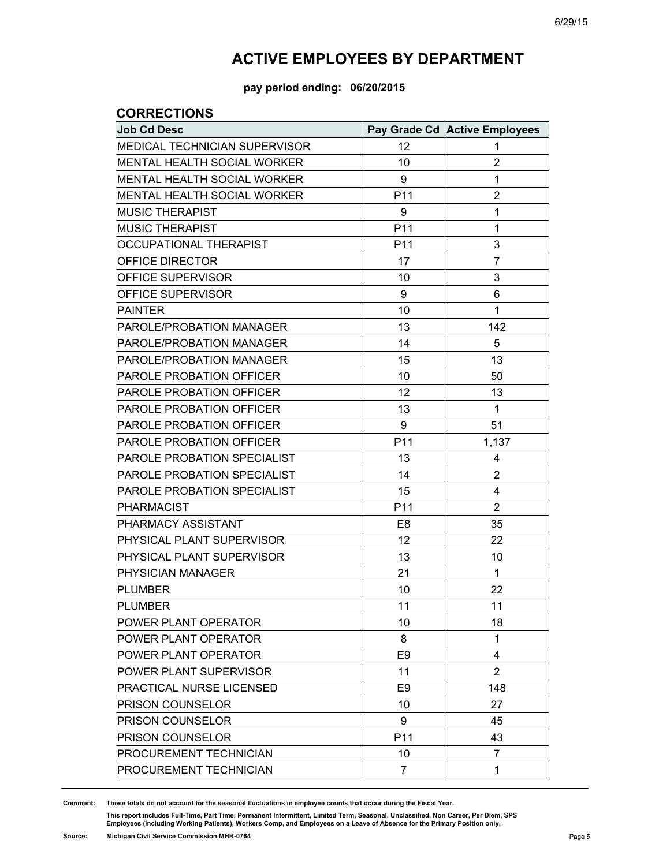**pay period ending: 06/20/2015**

#### **CORRECTIONS**

| <b>Job Cd Desc</b>                 |                 | Pay Grade Cd Active Employees |
|------------------------------------|-----------------|-------------------------------|
| MEDICAL TECHNICIAN SUPERVISOR      | 12              | 1                             |
| <b>MENTAL HEALTH SOCIAL WORKER</b> | 10              | 2                             |
| MENTAL HEALTH SOCIAL WORKER        | 9               | 1                             |
| MENTAL HEALTH SOCIAL WORKER        | P11             | $\overline{2}$                |
| <b>MUSIC THERAPIST</b>             | 9               | 1                             |
| <b>MUSIC THERAPIST</b>             | P11             | $\mathbf{1}$                  |
| OCCUPATIONAL THERAPIST             | P <sub>11</sub> | 3                             |
| OFFICE DIRECTOR                    | 17              | $\overline{7}$                |
| OFFICE SUPERVISOR                  | 10              | 3                             |
| OFFICE SUPERVISOR                  | 9               | 6                             |
| <b>PAINTER</b>                     | 10              | 1                             |
| PAROLE/PROBATION MANAGER           | 13              | 142                           |
| PAROLE/PROBATION MANAGER           | 14              | 5                             |
| PAROLE/PROBATION MANAGER           | 15              | 13                            |
| <b>PAROLE PROBATION OFFICER</b>    | 10              | 50                            |
| PAROLE PROBATION OFFICER           | 12              | 13                            |
| <b>PAROLE PROBATION OFFICER</b>    | 13              | $\mathbf{1}$                  |
| PAROLE PROBATION OFFICER           | 9               | 51                            |
| <b>PAROLE PROBATION OFFICER</b>    | P11             | 1,137                         |
| PAROLE PROBATION SPECIALIST        | 13              | 4                             |
| PAROLE PROBATION SPECIALIST        | 14              | $\overline{2}$                |
| PAROLE PROBATION SPECIALIST        | 15              | 4                             |
| <b>PHARMACIST</b>                  | P11             | $\overline{2}$                |
| PHARMACY ASSISTANT                 | E <sub>8</sub>  | 35                            |
| PHYSICAL PLANT SUPERVISOR          | 12              | 22                            |
| PHYSICAL PLANT SUPERVISOR          | 13              | 10                            |
| PHYSICIAN MANAGER                  | 21              | 1                             |
| <b>PLUMBER</b>                     | 10              | 22                            |
| <b>PLUMBER</b>                     | 11              | 11                            |
| POWER PLANT OPERATOR               | 10              | 18                            |
| POWER PLANT OPERATOR               | 8               | 1                             |
| POWER PLANT OPERATOR               | E <sub>9</sub>  | 4                             |
| POWER PLANT SUPERVISOR             | 11              | $\overline{2}$                |
| PRACTICAL NURSE LICENSED           | E <sub>9</sub>  | 148                           |
| <b>PRISON COUNSELOR</b>            | 10              | 27                            |
| PRISON COUNSELOR                   | 9               | 45                            |
| <b>PRISON COUNSELOR</b>            | P <sub>11</sub> | 43                            |
| PROCUREMENT TECHNICIAN             | 10              | $\overline{7}$                |
| PROCUREMENT TECHNICIAN             | $\overline{7}$  | $\mathbf{1}$                  |

**Comment: These totals do not account for the seasonal fluctuations in employee counts that occur during the Fiscal Year.**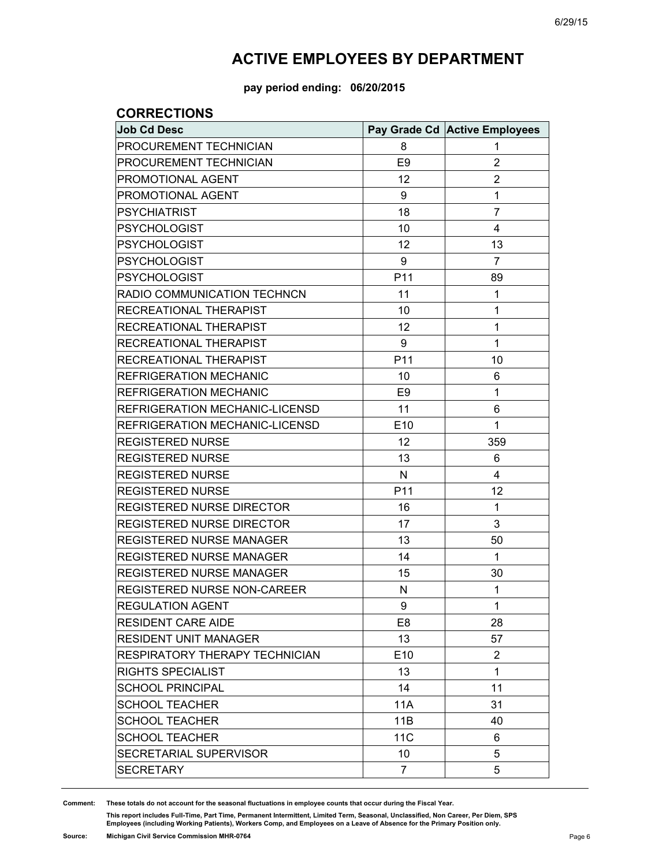**pay period ending: 06/20/2015**

#### **CORRECTIONS**

| <b>Job Cd Desc</b>                    |                 | Pay Grade Cd Active Employees |
|---------------------------------------|-----------------|-------------------------------|
| PROCUREMENT TECHNICIAN                | 8               | 1                             |
| PROCUREMENT TECHNICIAN                | E <sub>9</sub>  | $\overline{2}$                |
| PROMOTIONAL AGENT                     | 12              | $\overline{2}$                |
| PROMOTIONAL AGENT                     | 9               | 1                             |
| <b>PSYCHIATRIST</b>                   | 18              | $\overline{7}$                |
| <b>PSYCHOLOGIST</b>                   | 10              | 4                             |
| <b>PSYCHOLOGIST</b>                   | 12              | 13                            |
| <b>PSYCHOLOGIST</b>                   | 9               | $\overline{7}$                |
| <b>PSYCHOLOGIST</b>                   | P11             | 89                            |
| RADIO COMMUNICATION TECHNCN           | 11              | 1                             |
| RECREATIONAL THERAPIST                | 10              | 1                             |
| RECREATIONAL THERAPIST                | 12              | 1                             |
| RECREATIONAL THERAPIST                | 9               | 1                             |
| RECREATIONAL THERAPIST                | P11             | 10                            |
| <b>REFRIGERATION MECHANIC</b>         | 10              | 6                             |
| REFRIGERATION MECHANIC                | E <sub>9</sub>  | 1                             |
| REFRIGERATION MECHANIC-LICENSD        | 11              | 6                             |
| REFRIGERATION MECHANIC-LICENSD        | E10             | 1                             |
| <b>REGISTERED NURSE</b>               | 12              | 359                           |
| <b>REGISTERED NURSE</b>               | 13              | 6                             |
| <b>REGISTERED NURSE</b>               | N               | 4                             |
| <b>REGISTERED NURSE</b>               | P11             | 12                            |
| <b>REGISTERED NURSE DIRECTOR</b>      | 16              | 1                             |
| REGISTERED NURSE DIRECTOR             | 17              | 3                             |
| <b>REGISTERED NURSE MANAGER</b>       | 13              | 50                            |
| <b>REGISTERED NURSE MANAGER</b>       | 14              | 1                             |
| <b>REGISTERED NURSE MANAGER</b>       | 15              | 30                            |
| REGISTERED NURSE NON-CAREER           | N               | 1                             |
| <b>REGULATION AGENT</b>               | 9               | 1                             |
| <b>RESIDENT CARE AIDE</b>             | E <sub>8</sub>  | 28                            |
| <b>RESIDENT UNIT MANAGER</b>          | 13              | 57                            |
| <b>RESPIRATORY THERAPY TECHNICIAN</b> | E <sub>10</sub> | $\overline{2}$                |
| <b>RIGHTS SPECIALIST</b>              | 13              | 1                             |
| <b>SCHOOL PRINCIPAL</b>               | 14              | 11                            |
| <b>SCHOOL TEACHER</b>                 | 11A             | 31                            |
| <b>SCHOOL TEACHER</b>                 | 11B             | 40                            |
| <b>SCHOOL TEACHER</b>                 | 11 <sub>C</sub> | 6                             |
| SECRETARIAL SUPERVISOR                | 10              | 5                             |
| <b>SECRETARY</b>                      | $\overline{7}$  | 5                             |

**Comment: These totals do not account for the seasonal fluctuations in employee counts that occur during the Fiscal Year.**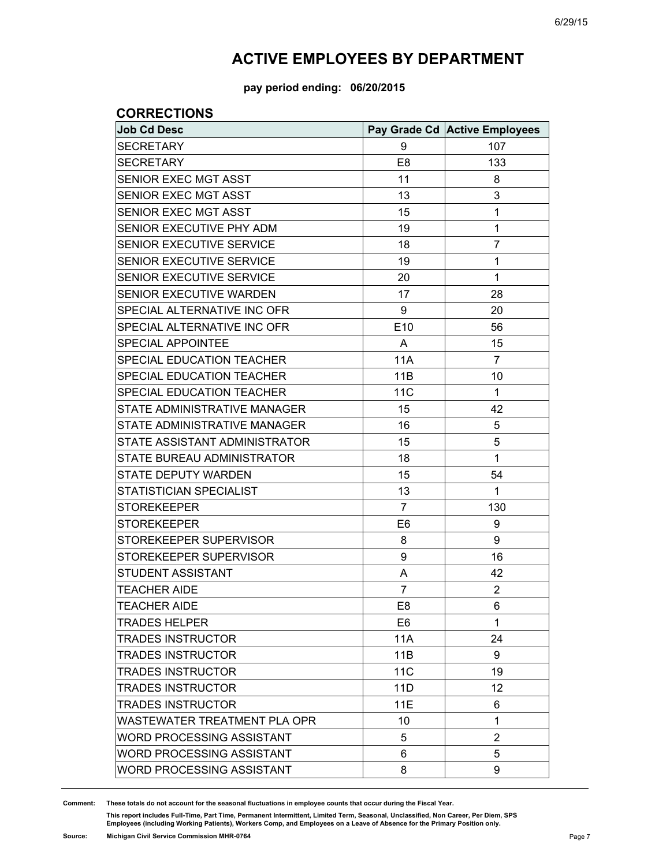**pay period ending: 06/20/2015**

#### **CORRECTIONS**

| <b>Job Cd Desc</b>               |                 | Pay Grade Cd Active Employees |
|----------------------------------|-----------------|-------------------------------|
| <b>SECRETARY</b>                 | 9               | 107                           |
| <b>SECRETARY</b>                 | E <sub>8</sub>  | 133                           |
| SENIOR EXEC MGT ASST             | 11              | 8                             |
| SENIOR EXEC MGT ASST             | 13              | 3                             |
| SENIOR EXEC MGT ASST             | 15              | 1                             |
| SENIOR EXECUTIVE PHY ADM         | 19              | 1                             |
| SENIOR EXECUTIVE SERVICE         | 18              | $\overline{7}$                |
| SENIOR EXECUTIVE SERVICE         | 19              | 1                             |
| SENIOR EXECUTIVE SERVICE         | 20              | $\mathbf 1$                   |
| SENIOR EXECUTIVE WARDEN          | 17              | 28                            |
| SPECIAL ALTERNATIVE INC OFR      | 9               | 20                            |
| SPECIAL ALTERNATIVE INC OFR      | E10             | 56                            |
| <b>SPECIAL APPOINTEE</b>         | A               | 15                            |
| SPECIAL EDUCATION TEACHER        | 11A             | $\overline{7}$                |
| SPECIAL EDUCATION TEACHER        | 11B             | 10                            |
| SPECIAL EDUCATION TEACHER        | 11 <sub>C</sub> | $\mathbf{1}$                  |
| STATE ADMINISTRATIVE MANAGER     | 15              | 42                            |
| STATE ADMINISTRATIVE MANAGER     | 16              | 5                             |
| STATE ASSISTANT ADMINISTRATOR    | 15              | 5                             |
| STATE BUREAU ADMINISTRATOR       | 18              | 1                             |
| STATE DEPUTY WARDEN              | 15              | 54                            |
| STATISTICIAN SPECIALIST          | 13              | 1                             |
| <b>STOREKEEPER</b>               | 7               | 130                           |
| <b>STOREKEEPER</b>               | E <sub>6</sub>  | 9                             |
| STOREKEEPER SUPERVISOR           | 8               | 9                             |
| STOREKEEPER SUPERVISOR           | 9               | 16                            |
| STUDENT ASSISTANT                | A               | 42                            |
| <b>TEACHER AIDE</b>              | $\overline{7}$  | $\overline{2}$                |
| <b>TEACHER AIDE</b>              | E <sub>8</sub>  | 6                             |
| <b>TRADES HELPER</b>             | E <sub>6</sub>  | 1                             |
| <b>TRADES INSTRUCTOR</b>         | 11A             | 24                            |
| <b>TRADES INSTRUCTOR</b>         | 11B             | 9                             |
| <b>TRADES INSTRUCTOR</b>         | <b>11C</b>      | 19                            |
| <b>TRADES INSTRUCTOR</b>         | 11D             | 12                            |
| <b>TRADES INSTRUCTOR</b>         | 11E             | 6                             |
| WASTEWATER TREATMENT PLA OPR     | 10              | 1                             |
| WORD PROCESSING ASSISTANT        | 5               | $\overline{2}$                |
| WORD PROCESSING ASSISTANT        | 6               | 5                             |
| <b>WORD PROCESSING ASSISTANT</b> | 8               | 9                             |

**Comment: These totals do not account for the seasonal fluctuations in employee counts that occur during the Fiscal Year.**